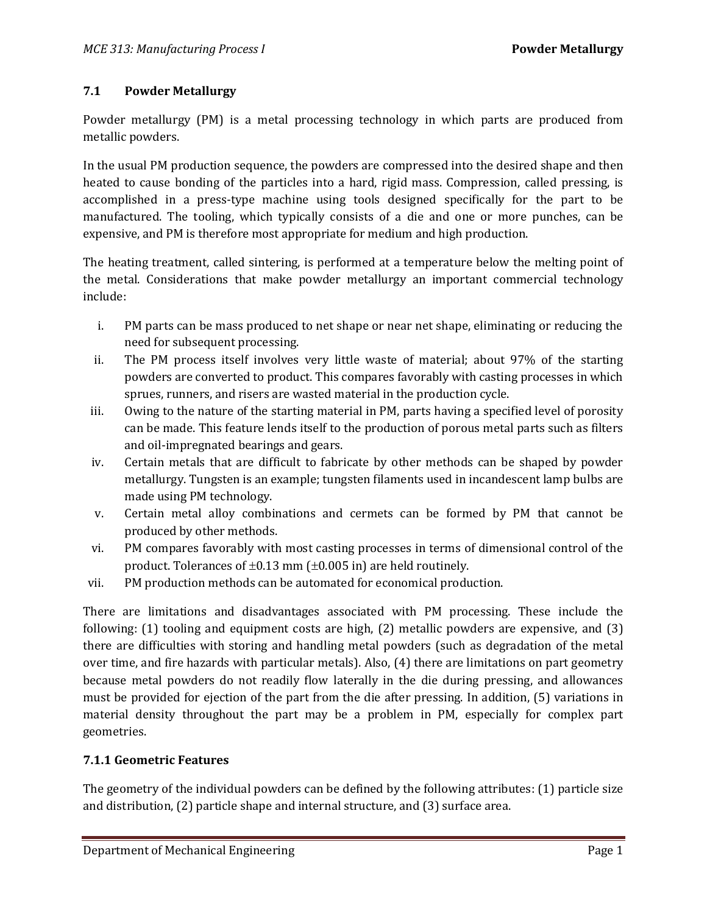### **7.1 Powder Metallurgy**

Powder metallurgy (PM) is a metal processing technology in which parts are produced from metallic powders.

In the usual PM production sequence, the powders are compressed into the desired shape and then heated to cause bonding of the particles into a hard, rigid mass. Compression, called pressing, is accomplished in a press-type machine using tools designed specifically for the part to be manufactured. The tooling, which typically consists of a die and one or more punches, can be expensive, and PM is therefore most appropriate for medium and high production.

The heating treatment, called sintering, is performed at a temperature below the melting point of the metal. Considerations that make powder metallurgy an important commercial technology include:

- i. PM parts can be mass produced to net shape or near net shape, eliminating or reducing the need for subsequent processing.
- ii. The PM process itself involves very little waste of material; about 97% of the starting powders are converted to product. This compares favorably with casting processes in which sprues, runners, and risers are wasted material in the production cycle.
- iii. Owing to the nature of the starting material in PM, parts having a specified level of porosity can be made. This feature lends itself to the production of porous metal parts such as filters and oil-impregnated bearings and gears.
- iv. Certain metals that are difficult to fabricate by other methods can be shaped by powder metallurgy. Tungsten is an example; tungsten filaments used in incandescent lamp bulbs are made using PM technology.
- v. Certain metal alloy combinations and cermets can be formed by PM that cannot be produced by other methods.
- vi. PM compares favorably with most casting processes in terms of dimensional control of the product. Tolerances of  $\pm 0.13$  mm ( $\pm 0.005$  in) are held routinely.
- vii. PM production methods can be automated for economical production.

There are limitations and disadvantages associated with PM processing. These include the following: (1) tooling and equipment costs are high, (2) metallic powders are expensive, and (3) there are difficulties with storing and handling metal powders (such as degradation of the metal over time, and fire hazards with particular metals). Also, (4) there are limitations on part geometry because metal powders do not readily flow laterally in the die during pressing, and allowances must be provided for ejection of the part from the die after pressing. In addition, (5) variations in material density throughout the part may be a problem in PM, especially for complex part geometries.

#### **7.1.1 Geometric Features**

The geometry of the individual powders can be defined by the following attributes: (1) particle size and distribution, (2) particle shape and internal structure, and (3) surface area.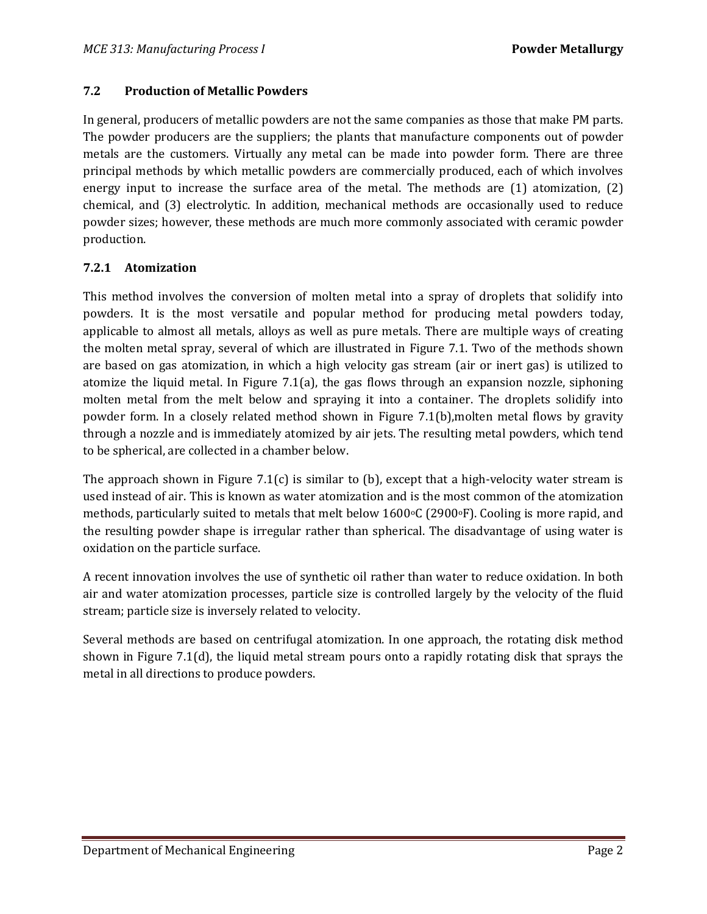#### **7.2 Production of Metallic Powders**

In general, producers of metallic powders are not the same companies as those that make PM parts. The powder producers are the suppliers; the plants that manufacture components out of powder metals are the customers. Virtually any metal can be made into powder form. There are three principal methods by which metallic powders are commercially produced, each of which involves energy input to increase the surface area of the metal. The methods are (1) atomization, (2) chemical, and (3) electrolytic. In addition, mechanical methods are occasionally used to reduce powder sizes; however, these methods are much more commonly associated with ceramic powder production.

### **7.2.1 Atomization**

This method involves the conversion of molten metal into a spray of droplets that solidify into powders. It is the most versatile and popular method for producing metal powders today, applicable to almost all metals, alloys as well as pure metals. There are multiple ways of creating the molten metal spray, several of which are illustrated in Figure 7.1. Two of the methods shown are based on gas atomization, in which a high velocity gas stream (air or inert gas) is utilized to atomize the liquid metal. In Figure 7.1(a), the gas flows through an expansion nozzle, siphoning molten metal from the melt below and spraying it into a container. The droplets solidify into powder form. In a closely related method shown in Figure 7.1(b),molten metal flows by gravity through a nozzle and is immediately atomized by air jets. The resulting metal powders, which tend to be spherical, are collected in a chamber below.

The approach shown in Figure 7.1(c) is similar to (b), except that a high-velocity water stream is used instead of air. This is known as water atomization and is the most common of the atomization methods, particularly suited to metals that melt below 1600°C (2900°F). Cooling is more rapid, and the resulting powder shape is irregular rather than spherical. The disadvantage of using water is oxidation on the particle surface.

A recent innovation involves the use of synthetic oil rather than water to reduce oxidation. In both air and water atomization processes, particle size is controlled largely by the velocity of the fluid stream; particle size is inversely related to velocity.

Several methods are based on centrifugal atomization. In one approach, the rotating disk method shown in Figure 7.1(d), the liquid metal stream pours onto a rapidly rotating disk that sprays the metal in all directions to produce powders.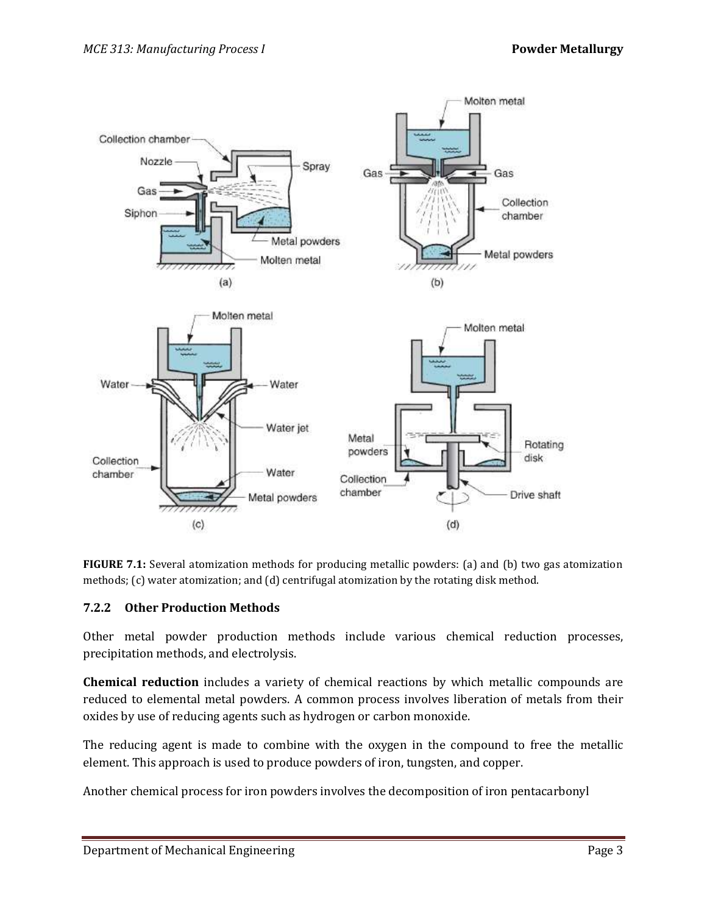

**FIGURE 7.1:** Several atomization methods for producing metallic powders: (a) and (b) two gas atomization methods; (c) water atomization; and (d) centrifugal atomization by the rotating disk method.

#### **7.2.2 Other Production Methods**

Other metal powder production methods include various chemical reduction processes, precipitation methods, and electrolysis.

**Chemical reduction** includes a variety of chemical reactions by which metallic compounds are reduced to elemental metal powders. A common process involves liberation of metals from their oxides by use of reducing agents such as hydrogen or carbon monoxide.

The reducing agent is made to combine with the oxygen in the compound to free the metallic element. This approach is used to produce powders of iron, tungsten, and copper.

Another chemical process for iron powders involves the decomposition of iron pentacarbonyl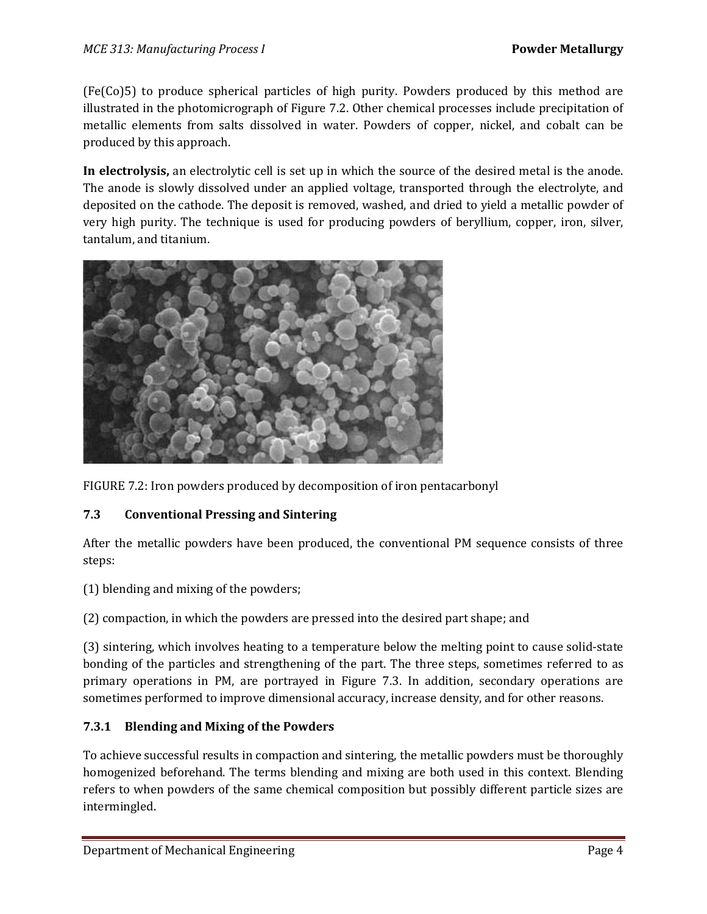(Fe(Co)5) to produce spherical particles of high purity. Powders produced by this method are illustrated in the photomicrograph of Figure 7.2. Other chemical processes include precipitation of metallic elements from salts dissolved in water. Powders of copper, nickel, and cobalt can be produced by this approach.

**In electrolysis,** an electrolytic cell is set up in which the source of the desired metal is the anode. The anode is slowly dissolved under an applied voltage, transported through the electrolyte, and deposited on the cathode. The deposit is removed, washed, and dried to yield a metallic powder of very high purity. The technique is used for producing powders of beryllium, copper, iron, silver, tantalum, and titanium.



FIGURE 7.2: Iron powders produced by decomposition of iron pentacarbonyl

# **7.3 Conventional Pressing and Sintering**

After the metallic powders have been produced, the conventional PM sequence consists of three steps:

(1) blending and mixing of the powders;

(2) compaction, in which the powders are pressed into the desired part shape; and

(3) sintering, which involves heating to a temperature below the melting point to cause solid-state bonding of the particles and strengthening of the part. The three steps, sometimes referred to as primary operations in PM, are portrayed in Figure 7.3. In addition, secondary operations are sometimes performed to improve dimensional accuracy, increase density, and for other reasons.

# **7.3.1 Blending and Mixing of the Powders**

To achieve successful results in compaction and sintering, the metallic powders must be thoroughly homogenized beforehand. The terms blending and mixing are both used in this context. Blending refers to when powders of the same chemical composition but possibly different particle sizes are intermingled.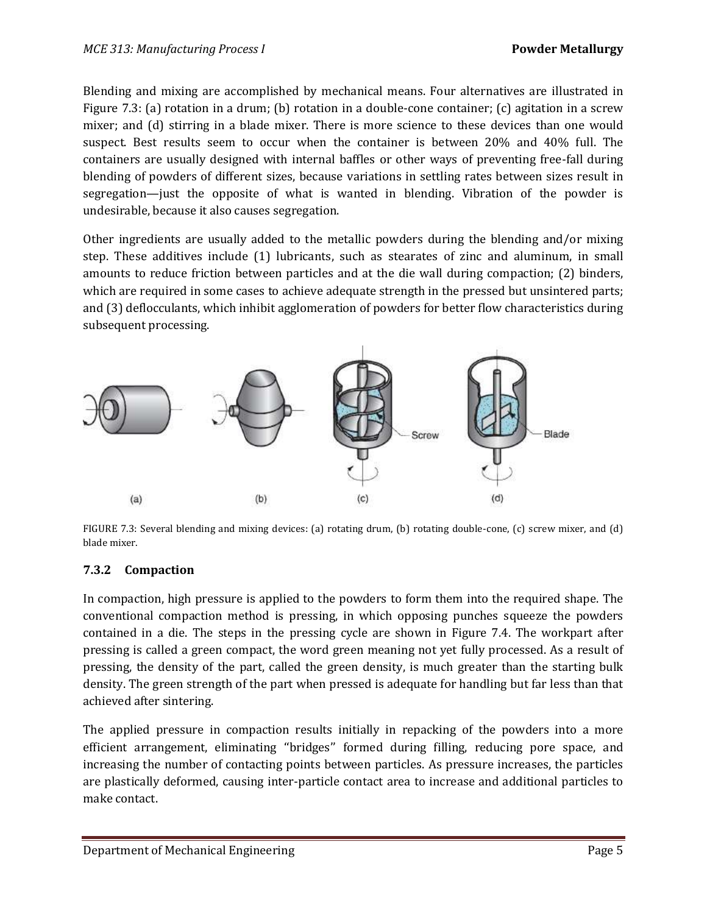Blending and mixing are accomplished by mechanical means. Four alternatives are illustrated in Figure 7.3: (a) rotation in a drum; (b) rotation in a double-cone container; (c) agitation in a screw mixer; and (d) stirring in a blade mixer. There is more science to these devices than one would suspect. Best results seem to occur when the container is between 20% and 40% full. The containers are usually designed with internal baffles or other ways of preventing free-fall during blending of powders of different sizes, because variations in settling rates between sizes result in segregation—just the opposite of what is wanted in blending. Vibration of the powder is undesirable, because it also causes segregation.

Other ingredients are usually added to the metallic powders during the blending and/or mixing step. These additives include (1) lubricants, such as stearates of zinc and aluminum, in small amounts to reduce friction between particles and at the die wall during compaction; (2) binders, which are required in some cases to achieve adequate strength in the pressed but unsintered parts; and (3) deflocculants, which inhibit agglomeration of powders for better flow characteristics during subsequent processing.



FIGURE 7.3: Several blending and mixing devices: (a) rotating drum, (b) rotating double-cone, (c) screw mixer, and (d) blade mixer.

# **7.3.2 Compaction**

In compaction, high pressure is applied to the powders to form them into the required shape. The conventional compaction method is pressing, in which opposing punches squeeze the powders contained in a die. The steps in the pressing cycle are shown in Figure 7.4. The workpart after pressing is called a green compact, the word green meaning not yet fully processed. As a result of pressing, the density of the part, called the green density, is much greater than the starting bulk density. The green strength of the part when pressed is adequate for handling but far less than that achieved after sintering.

The applied pressure in compaction results initially in repacking of the powders into a more efficient arrangement, eliminating ''bridges'' formed during filling, reducing pore space, and increasing the number of contacting points between particles. As pressure increases, the particles are plastically deformed, causing inter-particle contact area to increase and additional particles to make contact.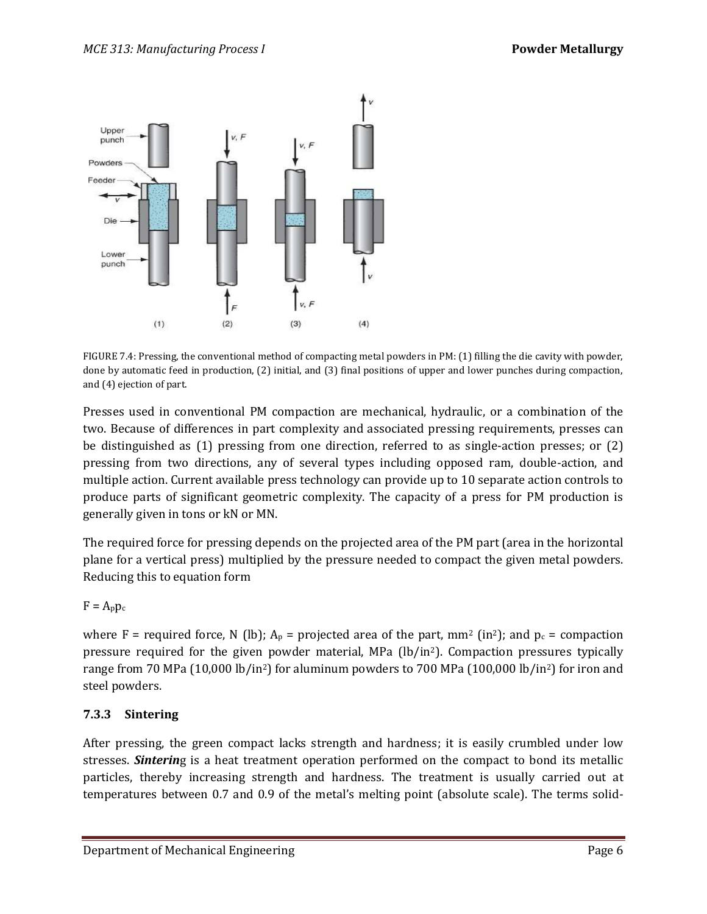

FIGURE 7.4: Pressing, the conventional method of compacting metal powders in PM: (1) filling the die cavity with powder, done by automatic feed in production, (2) initial, and (3) final positions of upper and lower punches during compaction, and (4) ejection of part.

Presses used in conventional PM compaction are mechanical, hydraulic, or a combination of the two. Because of differences in part complexity and associated pressing requirements, presses can be distinguished as (1) pressing from one direction, referred to as single-action presses; or (2) pressing from two directions, any of several types including opposed ram, double-action, and multiple action. Current available press technology can provide up to 10 separate action controls to produce parts of significant geometric complexity. The capacity of a press for PM production is generally given in tons or kN or MN.

The required force for pressing depends on the projected area of the PM part (area in the horizontal plane for a vertical press) multiplied by the pressure needed to compact the given metal powders. Reducing this to equation form

 $F = A_p p_c$ 

where F = required force, N (lb);  $A_p$  = projected area of the part, mm<sup>2</sup> (in<sup>2</sup>); and  $p_c$  = compaction pressure required for the given powder material, MPa (lb/in2). Compaction pressures typically range from 70 MPa (10,000 lb/in2) for aluminum powders to 700 MPa (100,000 lb/in2) for iron and steel powders.

# **7.3.3 Sintering**

After pressing, the green compact lacks strength and hardness; it is easily crumbled under low stresses. *Sinterin*g is a heat treatment operation performed on the compact to bond its metallic particles, thereby increasing strength and hardness. The treatment is usually carried out at temperatures between 0.7 and 0.9 of the metal's melting point (absolute scale). The terms solid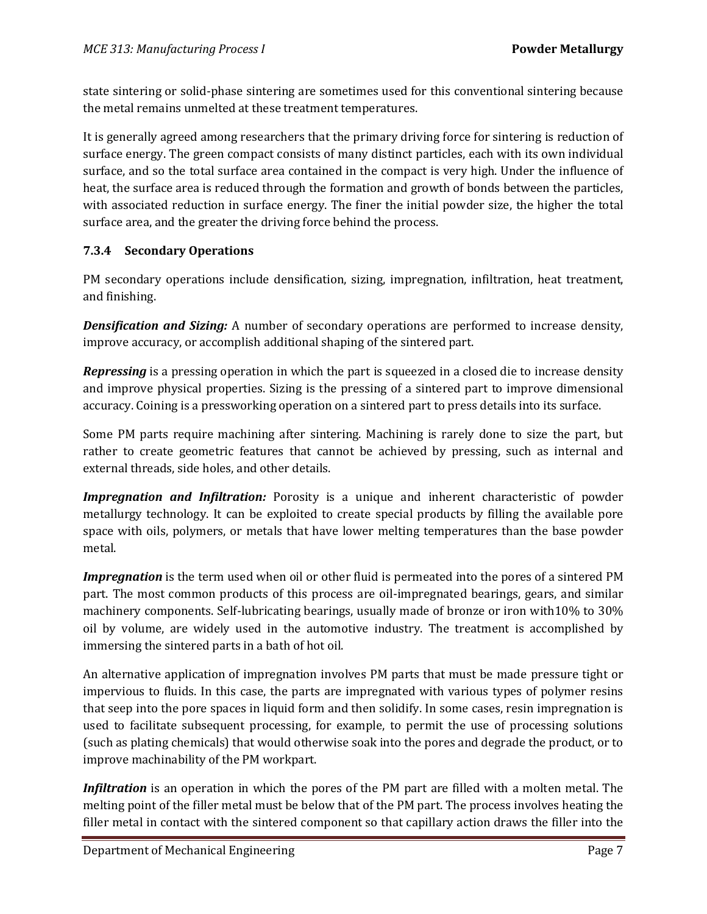state sintering or solid-phase sintering are sometimes used for this conventional sintering because the metal remains unmelted at these treatment temperatures.

It is generally agreed among researchers that the primary driving force for sintering is reduction of surface energy. The green compact consists of many distinct particles, each with its own individual surface, and so the total surface area contained in the compact is very high. Under the influence of heat, the surface area is reduced through the formation and growth of bonds between the particles, with associated reduction in surface energy. The finer the initial powder size, the higher the total surface area, and the greater the driving force behind the process.

# **7.3.4 Secondary Operations**

PM secondary operations include densification, sizing, impregnation, infiltration, heat treatment, and finishing.

*Densification and Sizing:* A number of secondary operations are performed to increase density, improve accuracy, or accomplish additional shaping of the sintered part.

*Repressing* is a pressing operation in which the part is squeezed in a closed die to increase density and improve physical properties. Sizing is the pressing of a sintered part to improve dimensional accuracy. Coining is a pressworking operation on a sintered part to press details into its surface.

Some PM parts require machining after sintering. Machining is rarely done to size the part, but rather to create geometric features that cannot be achieved by pressing, such as internal and external threads, side holes, and other details.

*Impregnation and Infiltration:* Porosity is a unique and inherent characteristic of powder metallurgy technology. It can be exploited to create special products by filling the available pore space with oils, polymers, or metals that have lower melting temperatures than the base powder metal.

*Impregnation* is the term used when oil or other fluid is permeated into the pores of a sintered PM part. The most common products of this process are oil-impregnated bearings, gears, and similar machinery components. Self-lubricating bearings, usually made of bronze or iron with10% to 30% oil by volume, are widely used in the automotive industry. The treatment is accomplished by immersing the sintered parts in a bath of hot oil.

An alternative application of impregnation involves PM parts that must be made pressure tight or impervious to fluids. In this case, the parts are impregnated with various types of polymer resins that seep into the pore spaces in liquid form and then solidify. In some cases, resin impregnation is used to facilitate subsequent processing, for example, to permit the use of processing solutions (such as plating chemicals) that would otherwise soak into the pores and degrade the product, or to improve machinability of the PM workpart.

*Infiltration* is an operation in which the pores of the PM part are filled with a molten metal. The melting point of the filler metal must be below that of the PM part. The process involves heating the filler metal in contact with the sintered component so that capillary action draws the filler into the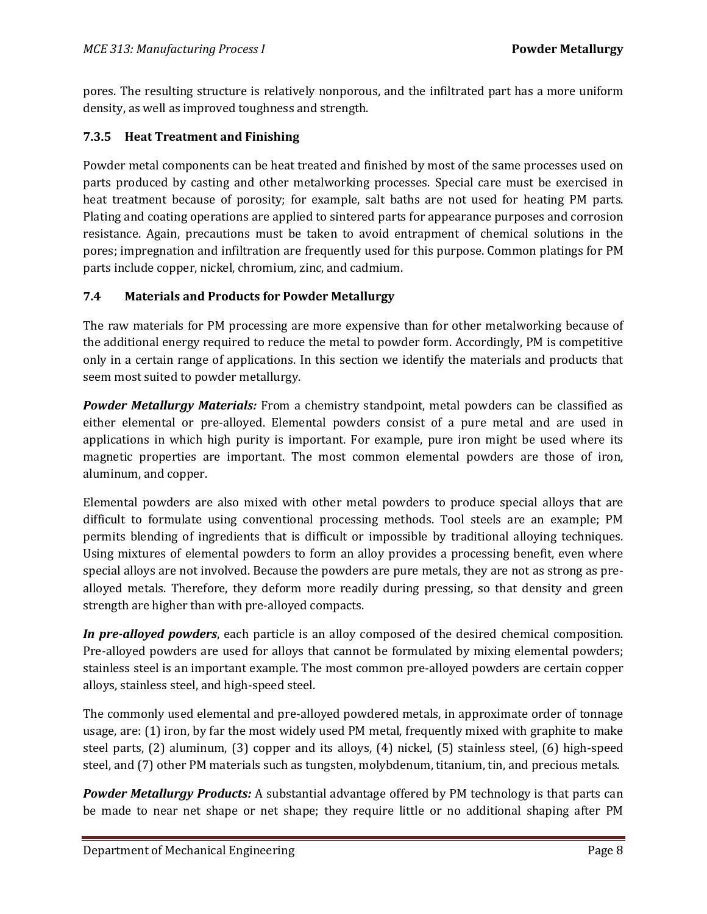pores. The resulting structure is relatively nonporous, and the infiltrated part has a more uniform density, as well as improved toughness and strength.

### **7.3.5 Heat Treatment and Finishing**

Powder metal components can be heat treated and finished by most of the same processes used on parts produced by casting and other metalworking processes. Special care must be exercised in heat treatment because of porosity; for example, salt baths are not used for heating PM parts. Plating and coating operations are applied to sintered parts for appearance purposes and corrosion resistance. Again, precautions must be taken to avoid entrapment of chemical solutions in the pores; impregnation and infiltration are frequently used for this purpose. Common platings for PM parts include copper, nickel, chromium, zinc, and cadmium.

#### **7.4 Materials and Products for Powder Metallurgy**

The raw materials for PM processing are more expensive than for other metalworking because of the additional energy required to reduce the metal to powder form. Accordingly, PM is competitive only in a certain range of applications. In this section we identify the materials and products that seem most suited to powder metallurgy.

*Powder Metallurgy Materials:* From a chemistry standpoint, metal powders can be classified as either elemental or pre-alloyed. Elemental powders consist of a pure metal and are used in applications in which high purity is important. For example, pure iron might be used where its magnetic properties are important. The most common elemental powders are those of iron, aluminum, and copper.

Elemental powders are also mixed with other metal powders to produce special alloys that are difficult to formulate using conventional processing methods. Tool steels are an example; PM permits blending of ingredients that is difficult or impossible by traditional alloying techniques. Using mixtures of elemental powders to form an alloy provides a processing benefit, even where special alloys are not involved. Because the powders are pure metals, they are not as strong as prealloyed metals. Therefore, they deform more readily during pressing, so that density and green strength are higher than with pre-alloyed compacts.

*In pre-alloyed powders*, each particle is an alloy composed of the desired chemical composition. Pre-alloyed powders are used for alloys that cannot be formulated by mixing elemental powders; stainless steel is an important example. The most common pre-alloyed powders are certain copper alloys, stainless steel, and high-speed steel.

The commonly used elemental and pre-alloyed powdered metals, in approximate order of tonnage usage, are: (1) iron, by far the most widely used PM metal, frequently mixed with graphite to make steel parts, (2) aluminum, (3) copper and its alloys, (4) nickel, (5) stainless steel, (6) high-speed steel, and (7) other PM materials such as tungsten, molybdenum, titanium, tin, and precious metals.

*Powder Metallurgy Products:* A substantial advantage offered by PM technology is that parts can be made to near net shape or net shape; they require little or no additional shaping after PM